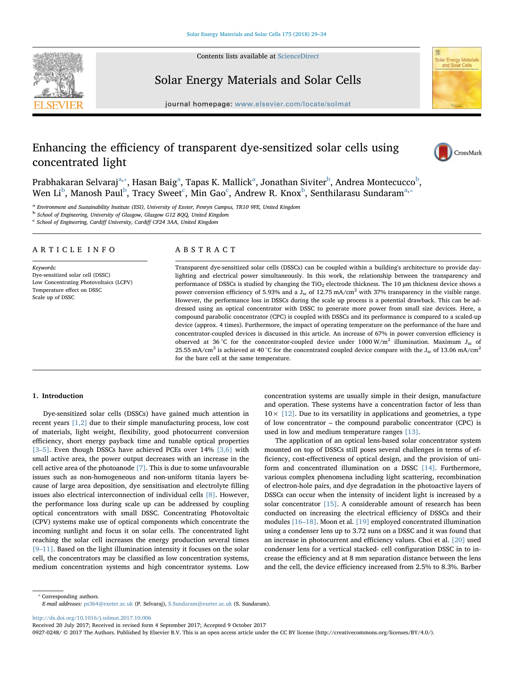Contents lists available at [ScienceDirect](http://www.sciencedirect.com/science/journal/09270248)



# Solar Energy Materials and Solar Cells

journal homepage: [www.elsevier.com/locate/solmat](https://www.elsevier.com/locate/solmat)

**Solar Energy Material** 

# Enhancing the efficiency of transparent dye-sensitized solar cells using concentrated light



Pr[a](#page-0-0)[b](#page-0-2)hakaran Selvaraj<sup>a,</sup>\*, Hasan Baig<sup>a</sup>, Tapas K. Mallick<sup>a</sup>, Jonathan Siviter<sup>b</sup>, Andrea Montecucco<sup>b</sup>, Wen Li<sup>[b](#page-0-2)</sup>, Manosh Paul<sup>b</sup>, Tra[c](#page-0-3)y Sweet<sup>c</sup>, Min Gao<sup>c</sup>, Andrew R. Knox<sup>b</sup>, Senthilarasu Sundaram<sup>[a,](#page-0-0)\*</sup>

<span id="page-0-0"></span><sup>a</sup> Environment and Sustainability Institute (ESI), University of Exeter, Penryn Campus, TR10 9FE, United Kingdom

<span id="page-0-2"></span><sup>b</sup> School of Engineering, University of Glasgow, Glasgow G12 8QQ, United Kingdom

<span id="page-0-3"></span><sup>c</sup> School of Engineering, Cardiff University, Cardiff CF24 3AA, United Kingdom

# ARTICLE INFO

Keywords: Dye-sensitized solar cell (DSSC) Low Concentrating Photovoltaics (LCPV) Temperature effect on DSSC Scale up of DSSC

# ABSTRACT

Transparent dye-sensitized solar cells (DSSCs) can be coupled within a building's architecture to provide daylighting and electrical power simultaneously. In this work, the relationship between the transparency and performance of DSSCs is studied by changing the TiO<sub>2</sub> electrode thickness. The 10 µm thickness device shows a power conversion efficiency of 5.93% and a  $J_{sc}$  of 12.75 mA/cm<sup>2</sup> with 37% transparency in the visible range. However, the performance loss in DSSCs during the scale up process is a potential drawback. This can be addressed using an optical concentrator with DSSC to generate more power from small size devices. Here, a compound parabolic concentrator (CPC) is coupled with DSSCs and its performance is compared to a scaled-up device (approx. 4 times). Furthermore, the impact of operating temperature on the performance of the bare and concentrator-coupled devices is discussed in this article. An increase of 67% in power conversion efficiency is observed at 36 °C for the concentrator-coupled device under 1000 W/m<sup>2</sup> illumination. Maximum J<sub>sc</sub> of 25.55 mA/cm<sup>2</sup> is achieved at 40 °C for the concentrated coupled device compare with the J<sub>sc</sub> of 13.06 mA/cm<sup>2</sup> for the bare cell at the same temperature.

## 1. Introduction

Dye-sensitized solar cells (DSSCs) have gained much attention in recent years [\[1,2\]](#page-5-0) due to their simple manufacturing process, low cost of materials, light weight, flexibility, good photocurrent conversion efficiency, short energy payback time and tunable optical properties [3-[5\]](#page-5-1). Even though DSSCs have achieved PCEs over 14% [\[3,6\]](#page-5-1) with small active area, the power output decreases with an increase in the cell active area of the photoanode [\[7\]](#page-5-2). This is due to some unfavourable issues such as non-homogeneous and non-uniform titania layers because of large area deposition, dye sensitisation and electrolyte filling issues also electrical interconnection of individual cells [\[8\].](#page-5-3) However, the performance loss during scale up can be addressed by coupling optical concentrators with small DSSC. Concentrating Photovoltaic (CPV) systems make use of optical components which concentrate the incoming sunlight and focus it on solar cells. The concentrated light reaching the solar cell increases the energy production several times [9–[11\].](#page-5-4) Based on the light illumination intensity it focuses on the solar cell, the concentrators may be classified as low concentration systems, medium concentration systems and high concentrator systems. Low

concentration systems are usually simple in their design, manufacture and operation. These systems have a concentration factor of less than  $10 \times [12]$ . Due to its versatility in applications and geometries, a type of low concentrator – the compound parabolic concentrator (CPC) is used in low and medium temperature ranges [\[13\]](#page-5-6).

The application of an optical lens-based solar concentrator system mounted on top of DSSCs still poses several challenges in terms of efficiency, cost-effectiveness of optical design, and the provision of uniform and concentrated illumination on a DSSC [\[14\]](#page-5-7). Furthermore, various complex phenomena including light scattering, recombination of electron-hole pairs, and dye degradation in the photoactive layers of DSSCs can occur when the intensity of incident light is increased by a solar concentrator [\[15\].](#page-5-8) A considerable amount of research has been conducted on increasing the electrical efficiency of DSSCs and their modules [16–[18\].](#page-5-9) Moon et al. [\[19\]](#page-5-10) employed concentrated illumination using a condenser lens up to 3.72 suns on a DSSC and it was found that an increase in photocurrent and efficiency values. Choi et al. [\[20\]](#page-5-11) used condenser lens for a vertical stacked- cell configuration DSSC in to increase the efficiency and at 8 mm separation distance between the lens and the cell, the device efficiency increased from 2.5% to 8.3%. Barber

<span id="page-0-1"></span>⁎ Corresponding authors. E-mail addresses: [ps364@exeter.ac.uk](mailto:ps364@exeter.ac.uk) (P. Selvaraj), [S.Sundaram@exeter.ac.uk](mailto:S.Sundaram@exeter.ac.uk) (S. Sundaram).

<http://dx.doi.org/10.1016/j.solmat.2017.10.006>

Received 20 July 2017; Received in revised form 4 September 2017; Accepted 9 October 2017

0927-0248/ © 2017 The Authors. Published by Elsevier B.V. This is an open access article under the CC BY license (http://creativecommons.org/licenses/BY/4.0/).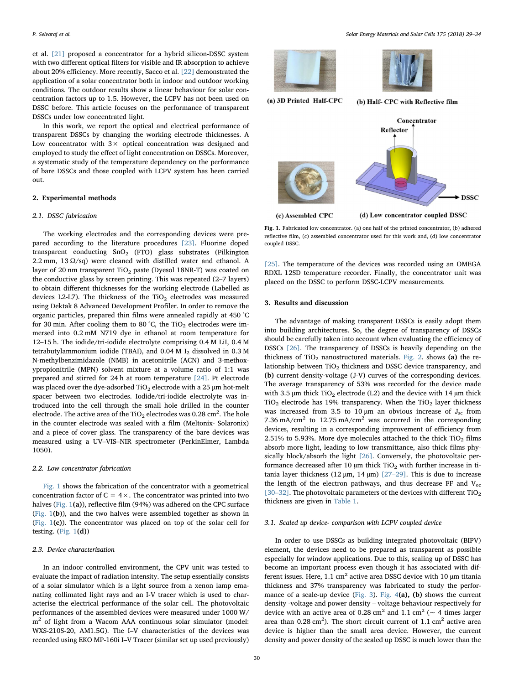et al. [\[21\]](#page-5-12) proposed a concentrator for a hybrid silicon-DSSC system with two different optical filters for visible and IR absorption to achieve about 20% efficiency. More recently, Sacco et al. [\[22\]](#page-5-13) demonstrated the application of a solar concentrator both in indoor and outdoor working conditions. The outdoor results show a linear behaviour for solar concentration factors up to 1.5. However, the LCPV has not been used on DSSC before. This article focuses on the performance of transparent DSSCs under low concentrated light.

In this work, we report the optical and electrical performance of transparent DSSCs by changing the working electrode thicknesses. A Low concentrator with  $3 \times$  optical concentration was designed and employed to study the effect of light concentration on DSSCs. Moreover, a systematic study of the temperature dependency on the performance of bare DSSCs and those coupled with LCPV system has been carried out.

# 2. Experimental methods

#### 2.1. DSSC fabrication

The working electrodes and the corresponding devices were prepared according to the literature procedures [\[23\].](#page-5-14) Fluorine doped transparent conducting SnO<sub>2</sub> (FTO) glass substrates (Pilkington 2.2 mm, 13 Ω/sq) were cleaned with distilled water and ethanol. A layer of 20 nm transparent  $TiO<sub>2</sub>$  paste (Dyesol 18NR-T) was coated on the conductive glass by screen printing. This was repeated (2–7 layers) to obtain different thicknesses for the working electrode (Labelled as devices L2-L7). The thickness of the TiO<sub>2</sub> electrodes was measured using Dektak 8 Advanced Development Profiler. In order to remove the organic particles, prepared thin films were annealed rapidly at 450 °C for 30 min. After cooling them to 80 °C, the TiO<sub>2</sub> electrodes were immersed into 0.2 mM N719 dye in ethanol at room temperature for 12–15 h. The iodide/tri-iodide electrolyte comprising 0.4 M LiI, 0.4 M tetrabutylammonium iodide (TBAI), and  $0.04$  M  $I_2$  dissolved in  $0.3$  M N-methylbenzimidazole (NMB) in acetonitrile (ACN) and 3-methoxypropionitrile (MPN) solvent mixture at a volume ratio of 1:1 was prepared and stirred for 24 h at room temperature [\[24\]](#page-5-15). Pt electrode was placed over the dye-adsorbed  $TiO<sub>2</sub>$  electrode with a 25  $\mu$ m hot-melt spacer between two electrodes. Iodide/tri-iodide electrolyte was introduced into the cell through the small hole drilled in the counter electrode. The active area of the TiO<sub>2</sub> electrodes was 0.28  $\mathrm{cm}^2$ . The hole in the counter electrode was sealed with a film (Meltonix- Solaronix) and a piece of cover glass. The transparency of the bare devices was measured using a UV–VIS–NIR spectrometer (PerkinElmer, Lambda 1050).

#### 2.2. Low concentrator fabrication

[Fig. 1](#page-1-0) shows the fabrication of the concentrator with a geometrical concentration factor of  $C = 4 \times$ . The concentrator was printed into two halves ([Fig. 1](#page-1-0)(a)), reflective film (94%) was adhered on the CPC surface ([Fig. 1](#page-1-0)(b)), and the two halves were assembled together as shown in ([Fig. 1](#page-1-0)(c)). The concentrator was placed on top of the solar cell for testing. [\(Fig. 1](#page-1-0)(d))

## 2.3. Device characterization

In an indoor controlled environment, the CPV unit was tested to evaluate the impact of radiation intensity. The setup essentially consists of a solar simulator which is a light source from a xenon lamp emanating collimated light rays and an I-V tracer which is used to characterise the electrical performance of the solar cell. The photovoltaic performances of the assembled devices were measured under 1000 W/ m<sup>2</sup> of light from a Wacom AAA continuous solar simulator (model: WXS-210S-20, AM1.5G). The I–V characteristics of the devices was recorded using EKO MP-160i I–V Tracer (similar set up used previously)

<span id="page-1-0"></span>

Fig. 1. Fabricated low concentrator. (a) one half of the printed concentrator, (b) adhered reflective film, (c) assembled concentrator used for this work and, (d) low concentrator coupled DSSC.

[\[25\]](#page-5-16). The temperature of the devices was recorded using an OMEGA RDXL 12SD temperature recorder. Finally, the concentrator unit was placed on the DSSC to perform DSSC-LCPV measurements.

# 3. Results and discussion

The advantage of making transparent DSSCs is easily adopt them into building architectures. So, the degree of transparency of DSSCs should be carefully taken into account when evaluating the efficiency of DSSCs [\[26\].](#page-5-17) The transparency of DSSCs is heavily depending on the thickness of  $TiO<sub>2</sub>$  nanostructured materials. [Fig. 2.](#page-2-0) shows (a) the relationship between  $TiO<sub>2</sub>$  thickness and DSSC device transparency, and (b) current density-voltage (J-V) curves of the corresponding devices. The average transparency of 53% was recorded for the device made with 3.5  $\mu$ m thick TiO<sub>2</sub> electrode (L2) and the device with 14  $\mu$ m thick  $TiO<sub>2</sub>$  electrode has 19% transparency. When the TiO<sub>2</sub> layer thickness was increased from 3.5 to 10  $\mu$ m an obvious increase of  $J_{\rm sc}$  from 7.36 mA/cm<sup>2</sup> to 12.75 mA/cm<sup>2</sup> was occurred in the corresponding devices, resulting in a corresponding improvement of efficiency from 2.51% to 5.93%. More dye molecules attached to the thick  $TiO<sub>2</sub>$  films absorb more light, leading to low transmittance, also thick films physically block/absorb the light [\[26\].](#page-5-17) Conversely, the photovoltaic performance decreased after 10  $\mu$ m thick TiO<sub>2</sub> with further increase in titania layer thickness (12  $\mu$ m, 14  $\mu$ m) [27–[29\].](#page-5-18) This is due to increase the length of the electron pathways, and thus decrease FF and  $V_{\text{oc}}$ [30–[32\]](#page-5-19). The photovoltaic parameters of the devices with different  $TiO<sub>2</sub>$ thickness are given in [Table 1.](#page-2-1)

# 3.1. Scaled up device- comparison with LCPV coupled device

In order to use DSSCs as building integrated photovoltaic (BIPV) element, the devices need to be prepared as transparent as possible especially for window applications. Due to this, scaling up of DSSC has become an important process even though it has associated with different issues. Here,  $1.1 \text{ cm}^2$  active area DSSC device with 10  $\mu$ m titania thickness and 37% transparency was fabricated to study the perfor-mance of a scale-up device [\(Fig. 3](#page-2-2)). [Fig. 4](#page-2-3)(a), (b) shows the current density -voltage and power density – voltage behaviour respectively for device with an active area of 0.28 cm<sup>2</sup> and 1.1 cm<sup>2</sup> ( $\sim$  4 times larger area than  $0.28 \text{ cm}^2$ ). The short circuit current of 1.1 cm<sup>2</sup> active area device is higher than the small area device. However, the current density and power density of the scaled up DSSC is much lower than the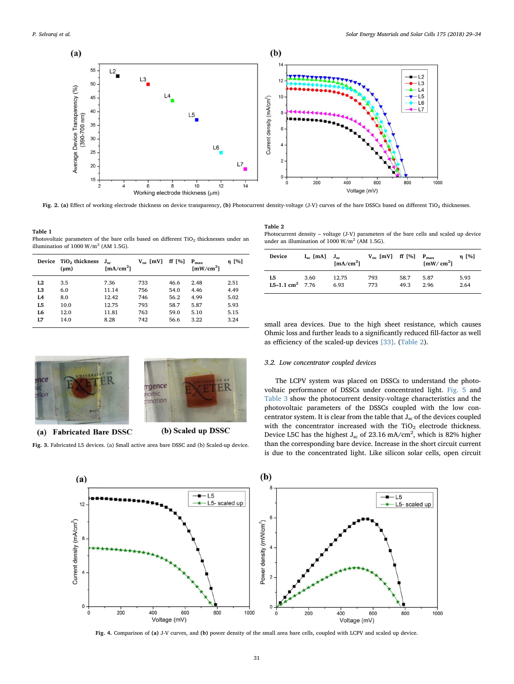<span id="page-2-0"></span>

Fig. 2. (a) Effect of working electrode thickness on device transparency, (b) Photocurrent density-voltage (J-V) curves of the bare DSSCs based on different TiO<sub>2</sub> thicknesses.

#### <span id="page-2-1"></span>Table 1

Photovoltaic parameters of the bare cells based on different  $TiO<sub>2</sub>$  thicknesses under an illumination of  $1000 \text{ W/m}^2$  (AM 1.5G).

| Device         | TiO <sub>2</sub> thickness<br>$(\mu m)$ | $J_{\rm ec}$<br>$\left[\text{mA/cm}^2\right]$ | $V_{oc}$ [mV] | ff [%] | $P_{max}$<br>$\left[\text{mW/cm}^2\right]$ | η [%] |
|----------------|-----------------------------------------|-----------------------------------------------|---------------|--------|--------------------------------------------|-------|
| L <sub>2</sub> | 3.5                                     | 7.36                                          | 733           | 46.6   | 2.48                                       | 2.51  |
| L3             | 6.0                                     | 11.14                                         | 756           | 54.0   | 4.46                                       | 4.49  |
| L4             | 8.0                                     | 12.42                                         | 746           | 56.2   | 4.99                                       | 5.02  |
| L <sub>5</sub> | 10.0                                    | 12.75                                         | 793           | 58.7   | 5.87                                       | 5.93  |
| L6             | 12.0                                    | 11.81                                         | 763           | 59.0   | 5.10                                       | 5.15  |
| L7             | 14.0                                    | 8.28                                          | 742           | 56.6   | 3.22                                       | 3.24  |

## <span id="page-2-4"></span>Table 2

Photocurrent density – voltage (J-V) parameters of the bare cells and scaled up device under an illumination of 1000 W/m<sup>2</sup> (AM 1.5G).

| <b>Device</b>             | $I_{sc}$ [mA] $J_{sc}$ | $\left[\text{mA/cm}^2\right]$ | $V_{\rm oc}$ [mV] ff [%] $P_{\rm max}$ |      | $\left[\text{mW}/\text{cm}^2\right]$ | η [%] |
|---------------------------|------------------------|-------------------------------|----------------------------------------|------|--------------------------------------|-------|
| L5                        | 3.60                   | 12.75                         | 793                                    | 58.7 | 5.87                                 | 5.93  |
| L5-1.1 $\text{cm}^2$ 7.76 |                        | 6.93                          | 773                                    | 49.3 | 2.96                                 | 2.64  |

small area devices. Due to the high sheet resistance, which causes Ohmic loss and further leads to a significantly reduced fill-factor as well as efficiency of the scaled-up devices [\[33\].](#page-5-20) ([Table 2](#page-2-4)).

# 3.2. Low concentrator coupled devices

The LCPV system was placed on DSSCs to understand the photovoltaic performance of DSSCs under concentrated light. [Fig. 5](#page-3-0) and [Table 3](#page-3-1) show the photocurrent density-voltage characteristics and the photovoltaic parameters of the DSSCs coupled with the low concentrator system. It is clear from the table that  $J_{sc}$  of the devices coupled with the concentrator increased with the  $TiO<sub>2</sub>$  electrode thickness. Device L5C has the highest  $J_{sc}$  of 23.16 mA/cm<sup>2</sup>, which is 82% higher than the corresponding bare device. Increase in the short circuit current is due to the concentrated light. Like silicon solar cells, open circuit



Fig. 4. Comparison of (a) J-V curves, and (b) power density of the small area bare cells, coupled with LCPV and scaled up device.

<span id="page-2-2"></span>

rgence nomic mation

(b) Scaled up DSSC

<span id="page-2-3"></span>Fig. 3. Fabricated L5 devices. (a) Small active area bare DSSC and (b) Scaled-up device.

(a) Fabricated Bare DSSC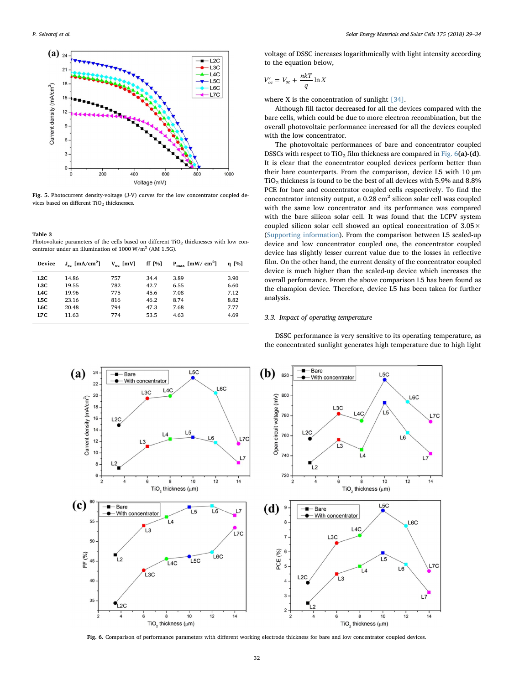<span id="page-3-0"></span>

Fig. 5. Photocurrent density-voltage (J-V) curves for the low concentrator coupled devices based on different TiO<sub>2</sub> thicknesses.

#### <span id="page-3-1"></span>Table 3

Photovoltaic parameters of the cells based on different TiO<sub>2</sub> thicknesses with low concentrator under an illumination of 1000 W/m<sup>2</sup> (AM 1.5G).

| Device | $J_{sc}$ [mA/cm <sup>2</sup> ] | $V_{\alpha c}$ [mV] | ff [%] | $P_{\text{max}}$ [mW/ cm <sup>2</sup> ] | n [%] |
|--------|--------------------------------|---------------------|--------|-----------------------------------------|-------|
| L2C    | 14.86                          | 757                 | 34.4   | 3.89                                    | 3.90  |
| L3C    | 19.55                          | 782                 | 42.7   | 6.55                                    | 6.60  |
| L4C    | 19.96                          | 775                 | 45.6   | 7.08                                    | 7.12  |
| L5C    | 23.16                          | 816                 | 46.2   | 8.74                                    | 8.82  |
| L6C    | 20.48                          | 794                 | 47.3   | 7.68                                    | 7.77  |
| L7 C   | 11.63                          | 774                 | 53.5   | 4.63                                    | 4.69  |
|        |                                |                     |        |                                         |       |

voltage of DSSC increases logarithmically with light intensity according to the equation below,

$$
V'_{oc} = V_{oc} + \frac{n k T}{q} \ln X
$$

where X is the concentration of sunlight  $[34]$ .

Although fill factor decreased for all the devices compared with the bare cells, which could be due to more electron recombination, but the overall photovoltaic performance increased for all the devices coupled with the low concentrator.

The photovoltaic performances of bare and concentrator coupled DSSCs with respect to TiO<sub>2</sub> film thickness are compared in Fig.  $6(a)-(d)$ . It is clear that the concentrator coupled devices perform better than their bare counterparts. From the comparison, device L5 with 10  $\mu$ m  $TiO<sub>2</sub>$  thickness is found to be the best of all devices with 5.9% and 8.8% PCE for bare and concentrator coupled cells respectively. To find the concentrator intensity output, a  $0.28 \text{ cm}^2$  silicon solar cell was coupled with the same low concentrator and its performance was compared with the bare silicon solar cell. It was found that the LCPV system coupled silicon solar cell showed an optical concentration of  $3.05 \times$ (Supporting information). From the comparison between L5 scaled-up device and low concentrator coupled one, the concentrator coupled device has slightly lesser current value due to the losses in reflective film. On the other hand, the current density of the concentrator coupled device is much higher than the scaled-up device which increases the overall performance. From the above comparison L5 has been found as the champion device. Therefore, device L5 has been taken for further analysis.

#### 3.3. Impact of operating temperature

DSSC performance is very sensitive to its operating temperature, as the concentrated sunlight generates high temperature due to high light

<span id="page-3-2"></span>

Fig. 6. Comparison of performance parameters with different working electrode thickness for bare and low concentrator coupled devices.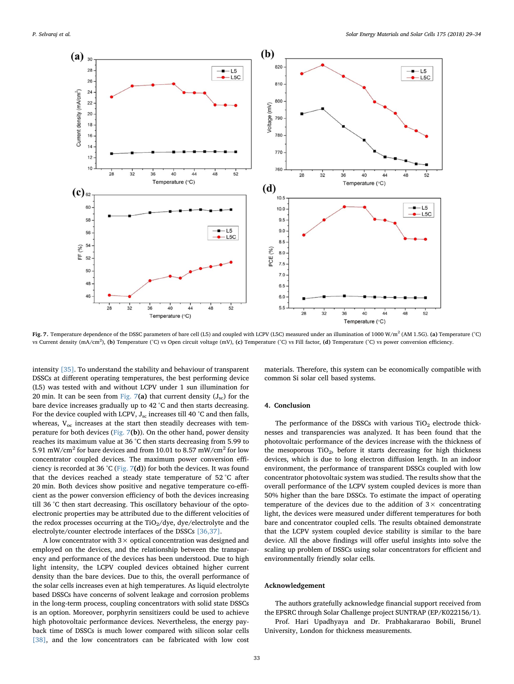<span id="page-4-0"></span>

Fig. 7. Temperature dependence of the DSSC parameters of bare cell (L5) and coupled with LCPV (L5C) measured under an illumination of 1000 W/m<sup>2</sup> (AM 1.5G). (a) Temperature (°C) vs Current density (mA/cm<sup>2</sup>), (b) Temperature (°C) vs Open circuit voltage (mV), (c) Temperature (°C) vs Fill factor, (d) Temperature (°C) vs power conversion efficiency.

intensity [\[35\].](#page-5-22) To understand the stability and behaviour of transparent DSSCs at different operating temperatures, the best performing device (L5) was tested with and without LCPV under 1 sun illumination for 20 min. It can be seen from [Fig. 7](#page-4-0)(a) that current density  $(J_{\rm sc})$  for the bare device increases gradually up to 42 °C and then starts decreasing. For the device coupled with LCPV,  $J_{sc}$  increases till 40 °C and then falls, whereas,  $V_{oc}$  increases at the start then steadily decreases with temperature for both devices (Fig.  $7(b)$ ). On the other hand, power density reaches its maximum value at 36 °C then starts decreasing from 5.99 to 5.91 mW/cm<sup>2</sup> for bare devices and from 10.01 to 8.57 mW/cm<sup>2</sup> for low concentrator coupled devices. The maximum power conversion efficiency is recorded at 36 °C ([Fig. 7](#page-4-0)(d)) for both the devices. It was found that the devices reached a steady state temperature of 52 °C after 20 min. Both devices show positive and negative temperature co-efficient as the power conversion efficiency of both the devices increasing till 36 °C then start decreasing. This oscillatory behaviour of the optoelectronic properties may be attributed due to the different velocities of the redox processes occurring at the TiO2/dye, dye/electrolyte and the electrolyte/counter electrode interfaces of the DSSCs [\[36,37\]](#page-5-23).

A low concentrator with  $3 \times$  optical concentration was designed and employed on the devices, and the relationship between the transparency and performance of the devices has been understood. Due to high light intensity, the LCPV coupled devices obtained higher current density than the bare devices. Due to this, the overall performance of the solar cells increases even at high temperatures. As liquid electrolyte based DSSCs have concerns of solvent leakage and corrosion problems in the long-term process, coupling concentrators with solid state DSSCs is an option. Moreover, porphyrin sensitizers could be used to achieve high photovoltaic performance devices. Nevertheless, the energy payback time of DSSCs is much lower compared with silicon solar cells [\[38\]](#page-5-24), and the low concentrators can be fabricated with low cost

materials. Therefore, this system can be economically compatible with common Si solar cell based systems.

### 4. Conclusion

The performance of the DSSCs with various  $TiO<sub>2</sub>$  electrode thicknesses and transparencies was analyzed. It has been found that the photovoltaic performance of the devices increase with the thickness of the mesoporous  $TiO<sub>2</sub>$ , before it starts decreasing for high thickness devices, which is due to long electron diffusion length. In an indoor environment, the performance of transparent DSSCs coupled with low concentrator photovoltaic system was studied. The results show that the overall performance of the LCPV system coupled devices is more than 50% higher than the bare DSSCs. To estimate the impact of operating temperature of the devices due to the addition of  $3\times$  concentrating light, the devices were measured under different temperatures for both bare and concentrator coupled cells. The results obtained demonstrate that the LCPV system coupled device stability is similar to the bare device. All the above findings will offer useful insights into solve the scaling up problem of DSSCs using solar concentrators for efficient and environmentally friendly solar cells.

# Acknowledgement

The authors gratefully acknowledge financial support received from the EPSRC through Solar Challenge project SUNTRAP (EP/K022156/1).

Prof. Hari Upadhyaya and Dr. Prabhakararao Bobili, Brunel University, London for thickness measurements.